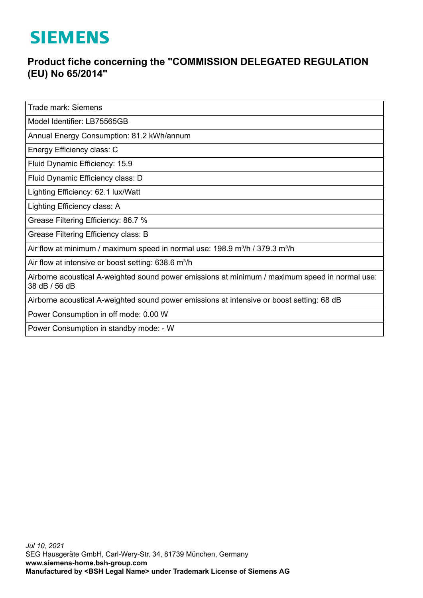## **SIEMENS**

## **Product fiche concerning the "COMMISSION DELEGATED REGULATION (EU) No 65/2014"**

Trade mark: Siemens

Model Identifier: LB75565GB

Annual Energy Consumption: 81.2 kWh/annum

Energy Efficiency class: C

Fluid Dynamic Efficiency: 15.9

Fluid Dynamic Efficiency class: D

Lighting Efficiency: 62.1 lux/Watt

Lighting Efficiency class: A

Grease Filtering Efficiency: 86.7 %

Grease Filtering Efficiency class: B

Air flow at minimum / maximum speed in normal use:  $198.9$  m<sup>3</sup>/h / 379.3 m<sup>3</sup>/h

Air flow at intensive or boost setting: 638.6 m<sup>3</sup>/h

Airborne acoustical A-weighted sound power emissions at minimum / maximum speed in normal use: 38 dB / 56 dB

Airborne acoustical A-weighted sound power emissions at intensive or boost setting: 68 dB

Power Consumption in off mode: 0.00 W

Power Consumption in standby mode: - W